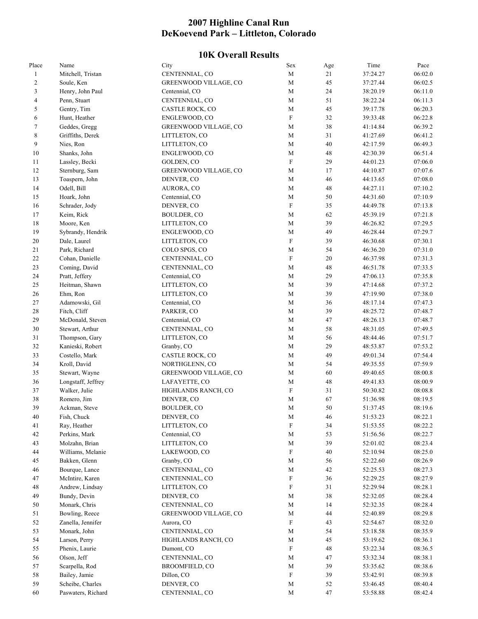## **2007 Highline Canal Run DeKoevend Park – Littleton, Colorado**

## **10K Overall Results**

| Place          | Name                         | City                         | Sex                       | Age    | Time     | Pace               |
|----------------|------------------------------|------------------------------|---------------------------|--------|----------|--------------------|
| $\mathbf{1}$   | Mitchell, Tristan            | CENTENNIAL, CO               | $\mathbf M$               | 21     | 37:24.27 | 06:02.0            |
| 2              | Soule, Ken                   | <b>GREENWOOD VILLAGE, CO</b> | $\mathbf M$               | 45     | 37:27.44 | 06:02.5            |
| 3              | Henry, John Paul             | Centennial, CO               | $\mathbf M$               | 24     | 38:20.19 | 06:11.0            |
| $\overline{4}$ | Penn, Stuart                 | CENTENNIAL, CO               | M                         | 51     | 38:22.24 | 06:11.3            |
| 5              | Gentry, Tim                  | CASTLE ROCK, CO              | $\mathbf M$               | 45     | 39:17.78 | 06:20.3            |
| 6              | Hunt, Heather                | ENGLEWOOD, CO                | $\boldsymbol{\mathrm{F}}$ | 32     | 39:33.48 | 06:22.8            |
| 7              | Geddes, Gregg                | GREENWOOD VILLAGE, CO        | $\mathbf M$               | 38     | 41:14.84 | 06:39.2            |
| $\,$ 8 $\,$    | Griffiths, Derek             | LITTLETON, CO                | $\mathbf M$               | 31     | 41:27.69 | 06:41.2            |
| 9              | Nies, Ron                    | LITTLETON, CO                | $\mathbf M$               | $40\,$ | 42:17.59 | 06:49.3            |
| 10             | Shanks, John                 | ENGLEWOOD, CO                | M                         | $48\,$ | 42:30.39 | 06:51.4            |
| 11             | Lassley, Becki               | GOLDEN, CO                   | $\boldsymbol{\mathrm{F}}$ | 29     | 44:01.23 | 07:06.0            |
| 12             | Sternburg, Sam               | <b>GREENWOOD VILLAGE, CO</b> | M                         | 17     | 44:10.87 | 07:07.6            |
| 13             |                              | DENVER, CO                   | $\mathbf M$               | 46     | 44:13.65 | 07:08.0            |
| 14             | Toaspern, John               |                              | $\mathbf M$               |        |          |                    |
|                | Odell, Bill                  | AURORA, CO                   |                           | 48     | 44:27.11 | 07:10.2            |
| 15             | Hoark, John                  | Centennial, CO               | $\mathbf M$               | 50     | 44:31.60 | 07:10.9            |
| 16             | Schrader, Jody               | DENVER, CO                   | $\boldsymbol{\mathrm{F}}$ | 35     | 44:49.78 | 07:13.8            |
| 17             | Keim, Rick                   | <b>BOULDER, CO</b>           | $\mathbf M$               | 62     | 45:39.19 | 07:21.8            |
| 18             | Moore, Ken                   | LITTLETON, CO                | $\mathbf M$               | 39     | 46:26.82 | 07:29.5            |
| 19             | Sybrandy, Hendrik            | ENGLEWOOD, CO                | $\mathbf M$               | 49     | 46:28.44 | 07:29.7            |
| $20\,$         | Dale, Laurel                 | LITTLETON, CO                | $\boldsymbol{\mathrm{F}}$ | 39     | 46:30.68 | 07:30.1            |
| 21             | Park, Richard                | COLO SPGS, CO                | $\mathbf M$               | 54     | 46:36.20 | 07:31.0            |
| 22             | Cohan, Danielle              | CENTENNIAL, CO               | $\boldsymbol{\mathrm{F}}$ | 20     | 46:37.98 | 07:31.3            |
| 23             | Coming, David                | CENTENNIAL, CO               | $\mathbf M$               | 48     | 46:51.78 | 07:33.5            |
| 24             | Pratt, Jeffery               | Centennial, CO               | $\mathbf M$               | 29     | 47:06.13 | 07:35.8            |
| $25\,$         | Heitman, Shawn               | LITTLETON, CO                | $\mathbf M$               | 39     | 47:14.68 | 07:37.2            |
| 26             | Ehm, Ron                     | LITTLETON, CO                | $\mathbf M$               | 39     | 47:19.90 | 07:38.0            |
| $27\,$         | Adamowski, Gil               | Centennial, CO               | $\mathbf M$               | 36     | 48:17.14 | 07:47.3            |
| $28\,$         | Fitch, Cliff                 | PARKER, CO                   | M                         | 39     | 48:25.72 | 07:48.7            |
| 29             | McDonald, Steven             | Centennial, CO               | $\mathbf M$               | 47     | 48:26.13 | 07:48.7            |
| $30\,$         | Stewart, Arthur              | CENTENNIAL, CO               | $\mathbf M$               | 58     | 48:31.05 | 07:49.5            |
| 31             | Thompson, Gary               | LITTLETON, CO                | $\mathbf M$               | 56     | 48:44.46 | 07:51.7            |
| 32             | Kanieski, Robert             | Granby, CO                   | $\mathbf M$               | 29     | 48:53.87 | 07:53.2            |
| 33             | Costello, Mark               | CASTLE ROCK, CO              | $\mathbf M$               | 49     | 49:01.34 | 07:54.4            |
| 34             | Kroll, David                 | NORTHGLENN, CO               | $\mathbf M$               | 54     | 49:35.55 | 07:59.9            |
| 35             | Stewart, Wayne               | GREENWOOD VILLAGE, CO        | $\mathbf M$               | 60     | 49:40.65 | 08:00.8            |
| 36             | Longstaff, Jeffrey           | LAFAYETTE, CO                | $\mathbf M$               | 48     | 49:41.83 | 08:00.9            |
| 37             |                              |                              | $\boldsymbol{\mathrm{F}}$ | 31     | 50:30.82 | 08:08.8            |
|                | Walker, Julie<br>Romero, Jim | HIGHLANDS RANCH, CO          | $\mathbf M$               | 67     |          |                    |
| 38<br>39       |                              | DENVER, CO                   | M                         | 50     | 51:36.98 | 08:19.5<br>08:19.6 |
|                | Ackman, Steve                | <b>BOULDER, CO</b>           |                           |        | 51:37.45 |                    |
| 40             | Fish, Chuck                  | DENVER, CO                   | $\mathbf M$               | 46     | 51:53.23 | 08:22.1            |
| 41             | Ray, Heather                 | LITTLETON, CO                | $\boldsymbol{\mathrm{F}}$ | 34     | 51:53.55 | 08:22.2            |
| 42             | Perkins, Mark                | Centennial, CO               | $\mathbf M$               | 53     | 51:56.56 | 08:22.7            |
| 43             | Molzahn, Brian               | LITTLETON, CO                | $\mathbf M$               | 39     | 52:01.02 | 08:23.4            |
| 44             | Williams, Melanie            | LAKEWOOD, CO                 | $\boldsymbol{\mathrm{F}}$ | 40     | 52:10.94 | 08:25.0            |
| 45             | Bakken, Glenn                | Granby, CO                   | $\mathbf M$               | 56     | 52:22.60 | 08:26.9            |
| 46             | Bourque, Lance               | CENTENNIAL, CO               | $\mathbf M$               | 42     | 52:25.53 | 08:27.3            |
| 47             | McIntire, Karen              | CENTENNIAL, CO               | $\mathbf F$               | 36     | 52:29.25 | 08:27.9            |
| 48             | Andrew, Lindsay              | LITTLETON, CO                | ${\bf F}$                 | 31     | 52:29.94 | 08:28.1            |
| 49             | Bundy, Devin                 | DENVER, CO                   | $\mathbf M$               | 38     | 52:32.05 | 08:28.4            |
| 50             | Monark, Chris                | CENTENNIAL, CO               | $\mathbf M$               | 14     | 52:32.35 | 08:28.4            |
| 51             | Bowling, Reece               | GREENWOOD VILLAGE, CO        | $\mathbf M$               | 44     | 52:40.89 | 08:29.8            |
| 52             | Zanella, Jennifer            | Aurora, CO                   | F                         | 43     | 52:54.67 | 08:32.0            |
| 53             | Monark, John                 | CENTENNIAL, CO               | $\mathbf M$               | 54     | 53:18.58 | 08:35.9            |
| 54             | Larson, Perry                | HIGHLANDS RANCH, CO          | $\mathbf M$               | 45     | 53:19.62 | 08:36.1            |
| 55             | Phenix, Laurie               | Dumont, CO                   | $\boldsymbol{\mathrm{F}}$ | 48     | 53:22.34 | 08:36.5            |
| 56             | Olson, Jeff                  | CENTENNIAL, CO               | $\mathbf M$               | 47     | 53:32.34 | 08:38.1            |
| 57             | Scarpella, Rod               | BROOMFIELD, CO               | $\mathbf M$               | 39     | 53:35.62 | 08:38.6            |
|                |                              |                              | $\boldsymbol{\mathrm{F}}$ |        |          |                    |
| 58             | Bailey, Jamie                | Dillon, CO                   |                           | 39     | 53:42.91 | 08:39.8            |
| 59             | Scheibe, Charles             | DENVER, CO                   | $\mathbf M$               | 52     | 53:46.45 | 08:40.4            |
| 60             | Paswaters, Richard           | CENTENNIAL, CO               | $\mathbf M$               | $47\,$ | 53:58.88 | 08:42.4            |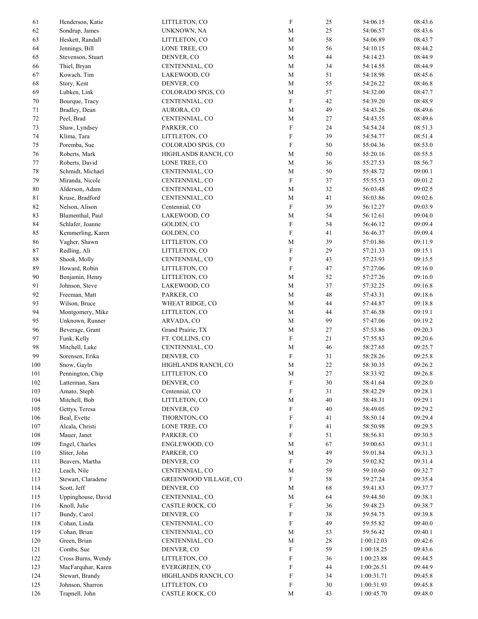| 61  | Henderson, Katie   | LITTLETON, CO         | $\boldsymbol{\mathrm{F}}$ | 25     | 54:06.15   | 08:43.6 |
|-----|--------------------|-----------------------|---------------------------|--------|------------|---------|
| 62  | Sondrup, James     | UNKNOWN, NA           | $\mathbf M$               | $25\,$ | 54:06.57   | 08:43.6 |
| 63  | Heskett, Randall   | LITTLETON, CO         | $\mathbf M$               | 58     | 54:06.89   | 08:43.7 |
| 64  | Jennings, Bill     | LONE TREE, CO         | $\mathbf M$               | 56     | 54:10.15   | 08:44.2 |
| 65  | Stevenson, Stuart  | DENVER, CO            | $\mathbf M$               | 44     | 54:14.23   | 08:44.9 |
| 66  | Thiel, Bryan       | CENTENNIAL, CO        | $\mathbf M$               | 34     | 54:14.55   | 08:44.9 |
|     |                    |                       |                           |        |            |         |
| 67  | Kowach, Tim        | LAKEWOOD, CO          | $\mathbf M$               | 51     | 54:18.98   | 08:45.6 |
| 68  | Story, Kent        | DENVER, CO            | $\mathbf M$               | 55     | 54:26.22   | 08:46.8 |
| 69  | Lubken, Link       | COLORADO SPGS, CO     | $\mathbf M$               | 57     | 54:32.00   | 08:47.7 |
| 70  | Bourque, Tracy     | CENTENNIAL, CO        | $\mathbf F$               | 42     | 54:39.20   | 08:48.9 |
| 71  | Bradley, Dean      | AURORA, CO            | $\mathbf M$               | 49     | 54:43.26   | 08:49.6 |
| 72  | Peel, Brad         | CENTENNIAL, CO        | $\mathbf M$               | 27     | 54:43.55   | 08:49.6 |
| 73  | Shaw, Lyndsey      | PARKER, CO            | $\mathbf F$               | 24     | 54:54.24   | 08:51.3 |
| 74  | Klima, Tara        | LITTLETON, CO         | $\mathbf F$               | 39     | 54:54.77   | 08:51.4 |
| 75  | Poremba, Sue       | COLORADO SPGS, CO     | $\mathbf F$               | 50     | 55:04.36   | 08:53.0 |
| 76  | Roberts, Mark      | HIGHLANDS RANCH, CO   | $\mathbf M$               | 50     | 55:20.16   | 08:55.5 |
| 77  | Roberts, David     | LONE TREE, CO         | $\mathbf M$               | 36     | 55:27.53   | 08:56.7 |
|     |                    |                       |                           |        |            |         |
| 78  | Schmidt, Michael   | CENTENNIAL, CO        | $\mathbf M$               | $50\,$ | 55:48.72   | 09:00.1 |
| 79  | Miranda, Nicole    | CENTENNIAL, CO        | $\mathbf F$               | 37     | 55:55.53   | 09:01.2 |
| 80  | Alderson, Adam     | CENTENNIAL, CO        | $\mathbf M$               | 32     | 56:03.48   | 09:02.5 |
| 81  | Kruse, Bradford    | CENTENNIAL, CO        | $\mathbf M$               | 41     | 56:03.86   | 09:02.6 |
| 82  | Nelson, Alison     | Centennial, CO        | $\mathbf F$               | 39     | 56:12.27   | 09:03.9 |
| 83  | Blumenthal, Paul   | LAKEWOOD, CO          | $\mathbf M$               | 54     | 56:12.61   | 09:04.0 |
| 84  | Schlafer, Joanne   | GOLDEN, CO            | $\boldsymbol{\mathrm{F}}$ | 54     | 56:46.12   | 09:09.4 |
| 85  | Kemmerling, Karen  | GOLDEN, CO            | ${\rm F}$                 | 41     | 56:46.37   | 09:09.4 |
| 86  | Vagher, Shawn      | LITTLETON, CO         | M                         | 39     | 57:01.86   | 09:11.9 |
| 87  | Redling, Ali       | LITTLETON, CO         | $\mathbf F$               | 29     | 57:21.33   | 09:15.1 |
|     |                    |                       |                           |        |            |         |
| 88  | Shook, Molly       | CENTENNIAL, CO        | $\boldsymbol{\mathrm{F}}$ | 43     | 57:23.93   | 09:15.5 |
| 89  | Howard, Robin      | LITTLETON, CO         | ${\rm F}$                 | 47     | 57:27.06   | 09:16.0 |
| 90  | Benjamin, Henry    | LITTLETON, CO         | $\mathbf M$               | 52     | 57:27.26   | 09:16.0 |
| 91  | Johnson, Steve     | LAKEWOOD, CO          | $\mathbf M$               | 37     | 57:32.25   | 09:16.8 |
| 92  | Freeman, Matt      | PARKER, CO            | $\mathbf M$               | $48\,$ | 57:43.31   | 09:18.6 |
| 93  | Wilson, Bruce      | WHEAT RIDGE, CO       | $\mathbf M$               | $44\,$ | 57:44.87   | 09:18.8 |
| 94  | Montgomery, Mike   | LITTLETON, CO         | $\mathbf M$               | 44     | 57:46.58   | 09:19.1 |
| 95  | Unknown, Runner    | ARVADA, CO            | $\mathbf M$               | 99     | 57:47.06   | 09:19.2 |
| 96  | Beverage, Grant    | Grand Prairie, TX     | $\mathbf M$               | 27     | 57:53.86   | 09:20.3 |
| 97  | Funk, Kelly        | FT. COLLINS, CO       | ${\rm F}$                 | 21     | 57:55.83   | 09:20.6 |
| 98  | Mitchell, Luke     | CENTENNIAL, CO        | $\mathbf M$               | 46     | 58:27.65   | 09:25.7 |
| 99  | Sorensen, Erika    | DENVER, CO            | $\boldsymbol{\mathrm{F}}$ | 31     | 58:28.26   | 09:25.8 |
|     |                    |                       | M                         |        |            |         |
| 100 | Snow, Gayln        | HIGHLANDS RANCH, CO   |                           | $22\,$ | 58:30.35   | 09:26.2 |
| 101 | Pennington, Chip   | LITTLETON, CO         | $\mathbf M$               | 27     | 58:33.92   | 09:26.8 |
| 102 | Latterman, Sara    | DENVER, CO            | $\boldsymbol{\mathrm{F}}$ | $30\,$ | 58:41.64   | 09:28.0 |
| 103 | Amato, Steph       | Centennial, CO        | $\boldsymbol{\mathrm{F}}$ | 31     | 58:42.29   | 09:28.1 |
| 104 | Mitchell, Bob      | LITTLETON, CO         | $\mathbf M$               | $40\,$ | 58:48.31   | 09:29.1 |
| 105 | Gettys, Teresa     | DENVER, CO            | $\boldsymbol{\mathrm{F}}$ | 40     | 58:49.05   | 09:29.2 |
| 106 | Beal, Evette       | THORNTON, CO          | $\boldsymbol{\mathrm{F}}$ | 41     | 58:50.14   | 09:29.4 |
| 107 | Alcala, Christi    | LONE TREE, CO         | $\boldsymbol{\mathrm{F}}$ | 41     | 58:50.98   | 09:29.5 |
| 108 | Mauer, Janet       | PARKER, CO            | $\boldsymbol{\mathrm{F}}$ | 51     | 58:56.81   | 09:30.5 |
| 109 | Engel, Charles     | ENGLEWOOD, CO         | $\mathbf M$               | 67     | 59:00.63   | 09:31.1 |
| 110 | Sliter, John       | PARKER, CO            | $\mathbf M$               | 49     | 59:01.84   | 09:31.3 |
|     |                    |                       |                           |        |            |         |
| 111 | Beavers, Martha    | DENVER, CO            | $\boldsymbol{\mathrm{F}}$ | 29     | 59:02.82   | 09:31.4 |
| 112 | Leach, Nile        | CENTENNIAL, CO        | $\mathbf M$               | 59     | 59:10.60   | 09:32.7 |
| 113 | Stewart, Claradene | GREENWOOD VILLAGE, CO | $\boldsymbol{\mathrm{F}}$ | 58     | 59:27.24   | 09:35.4 |
| 114 | Scott, Jeff        | DENVER, CO            | $\mathbf M$               | 68     | 59:41.83   | 09:37.7 |
| 115 | Uppinghouse, David | CENTENNIAL, CO        | $\mathbf M$               | 64     | 59:44.50   | 09:38.1 |
| 116 | Knoll, Julie       | CASTLE ROCK, CO       | $\boldsymbol{\mathrm{F}}$ | 36     | 59:48.23   | 09:38.7 |
| 117 | Bundy, Carol       | DENVER, CO            | $\boldsymbol{\mathrm{F}}$ | 38     | 59:54.75   | 09:39.8 |
| 118 | Cohan, Linda       | CENTENNIAL, CO        | $\boldsymbol{\mathrm{F}}$ | 49     | 59:55.82   | 09:40.0 |
| 119 | Cohan, Brian       | CENTENNIAL, CO        | $\mathbf M$               | 53     | 59:56.42   | 09:40.1 |
| 120 | Green, Brian       | CENTENNIAL, CO        | M                         | 28     | 1:00:12.03 | 09:42.6 |
|     | Combs, Sue         | DENVER, CO            | $\boldsymbol{\mathrm{F}}$ | 59     |            | 09:43.6 |
| 121 |                    |                       |                           |        | 1:00:18.25 |         |
| 122 | Cross Burns, Wendy | LITTLETON, CO         | ${\bf F}$                 | 36     | 1:00:23.88 | 09:44.5 |
| 123 | MacFarquhar, Karen | <b>EVERGREEN, CO</b>  | $\boldsymbol{\mathrm{F}}$ | 44     | 1:00:26.51 | 09:44.9 |
| 124 | Stewart, Brandy    | HIGHLANDS RANCH, CO   | $\boldsymbol{\mathrm{F}}$ | 34     | 1:00:31.71 | 09:45.8 |
| 125 | Johnson, Sharron   | LITTLETON, CO         | $\boldsymbol{\mathrm{F}}$ | 30     | 1:00:31.93 | 09:45.8 |
| 126 | Trapnell, John     | CASTLE ROCK, CO       | $\mathbf M$               | 43     | 1:00:45.70 | 09:48.0 |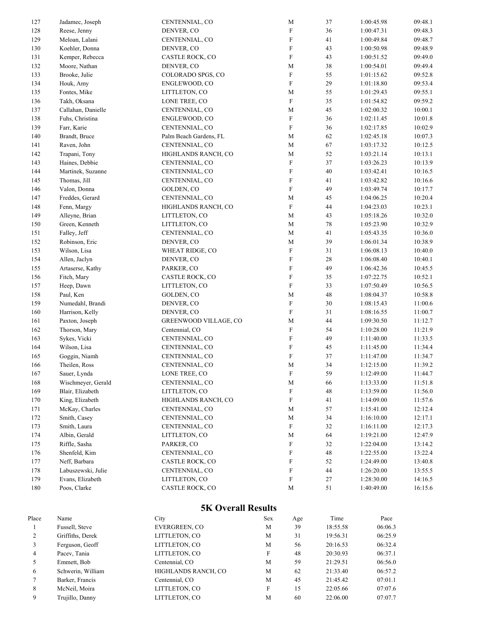|            |                                     | <b>5K Overall Results</b>            |                            |          |                          |                    |
|------------|-------------------------------------|--------------------------------------|----------------------------|----------|--------------------------|--------------------|
|            |                                     |                                      |                            |          |                          |                    |
| 180        | Poos, Clarke                        | LITTLETON, CO<br>CASTLE ROCK, CO     | $\mathbf M$                | 51       | 1:28:30.00<br>1:40:49.00 | 14:16.5<br>16:15.6 |
| 178<br>179 | Evans, Elizabeth                    |                                      | F<br>F                     | 27       | 1:26:20.00               | 13:55.5            |
| 177        | Neff, Barbara<br>Labuszewski, Julie | CASTLE ROCK, CO<br>CENTENNIAL, CO    | F                          | 52<br>44 | 1:24:49.00               | 13:40.8            |
| 176        | Shenfeld, Kim                       | CENTENNIAL, CO                       | F                          | 48       | 1:22:55.00               | 13:22.4            |
| 175        | Riffle, Sasha                       | PARKER, CO                           | $\boldsymbol{\mathrm{F}}$  | 32       | 1:22:04.00               | 13:14.2            |
| 174        | Albin, Gerald                       | LITTLETON, CO                        | М                          | 64       | 1:19:21.00               | 12:47.9            |
| 173        | Smith, Laura                        | CENTENNIAL, CO                       | $\boldsymbol{\mathrm{F}}$  | 32       | 1:16:11.00               | 12:17.3            |
| 172        | Smith, Casey                        | CENTENNIAL, CO                       | $\mathbf M$                | 34       | 1:16:10.00               | 12:17.1            |
| 171        | McKay, Charles                      | CENTENNIAL, CO                       | $\mathbf M$                | 57       | 1:15:41.00               | 12:12.4            |
| 170        | King, Elizabeth                     | HIGHLANDS RANCH, CO                  | $\boldsymbol{\mathrm{F}}$  | 41       | 1:14:09.00               | 11:57.6            |
| 169        | Blair, Elizabeth                    | LITTLETON, CO                        | $\boldsymbol{\mathrm{F}}$  | 48       | 1:13:59.00               | 11:56.0            |
| 168        | Wischmeyer, Gerald                  | CENTENNIAL, CO                       | M                          | 66       | 1:13:33.00               | 11:51.8            |
| 167        | Sauer, Lynda                        | LONE TREE, CO                        | $\boldsymbol{\mathrm{F}}$  | 59       | 1:12:49.00               | 11:44.7            |
| 166        | Theilen, Ross                       | CENTENNIAL, CO                       | M                          | 34       | 1:12:15.00               | 11:39.2            |
| 165        | Goggin, Niamh                       | CENTENNIAL, CO                       | $\mathbf F$                | 37       | 1:11:47.00               | 11:34.7            |
| 164        | Wilson, Lisa                        | CENTENNIAL, CO                       | $\mathbf F$                | 45       | 1:11:45.00               | 11:34.4            |
| 163        | Sykes, Vicki                        | CENTENNIAL, CO                       | $\mathbf F$                | 49       | 1:11:40.00               | 11:33.5            |
| 162        | Thorson, Mary                       | Centennial, CO                       | $\mathbf F$                | 54       | 1:10:28.00               | 11:21.9            |
| 161        | Paxton, Joseph                      | GREENWOOD VILLAGE, CO                | $\mathbf M$                | 44       | 1:09:30.50               | 11:12.7            |
| 160        | Harrison, Kelly                     | DENVER, CO                           |                            | 31       | 1:08:16.55               | 11:00.7            |
| 159        | Numedahl, Brandi                    | DENVER, CO                           | $\mathbf F$<br>$\rm F$     | 30       | 1:08:15.43               | 11:00.6            |
| 158        | Paul, Ken                           | GOLDEN, CO                           | $\mathbf M$                | $48\,$   | 1:08:04.37               | 10:58.8            |
| 157        | Heep, Dawn                          | LITTLETON, CO                        |                            |          | 1:07:50.49               | 10:56.5            |
| 156        | Fitch, Mary                         | CASTLE ROCK, CO                      | $\mathbf F$<br>$\mathbf F$ | 35<br>33 | 1:07:22.75               | 10:52.1            |
|            |                                     |                                      |                            |          |                          |                    |
| 155        | Artaserse, Kathy                    | PARKER, CO                           | $\mathbf F$                | 49       | 1:06:42.36               | 10:45.5            |
| 154        | Allen, Jaclyn                       | DENVER, CO                           | $\boldsymbol{\mathrm{F}}$  | $28\,$   | 1:06:08.40               | 10:40.1            |
| 153        | Wilson, Lisa                        | WHEAT RIDGE, CO                      | $\boldsymbol{\mathrm{F}}$  | 31       | 1:06:08.13               | 10:40.0            |
| 152        | Robinson, Eric                      | DENVER, CO                           | $\mathbf M$                | 39       | 1:06:01.34               | 10:38.9            |
| 151        | Falley, Jeff                        | CENTENNIAL, CO                       | M                          | 41       | 1:05:43.35               | 10:36.0            |
| 150        | Green, Kenneth                      | LITTLETON, CO                        | M                          | $78\,$   | 1:05:23.90               | 10:32.9            |
| 148<br>149 | Alleyne, Brian                      | HIGHLANDS RANCH, CO<br>LITTLETON, CO | $\mathbf M$                | 43       | 1:04:23.03<br>1:05:18.26 | 10:23.1<br>10:32.0 |
|            | Fenn, Margy                         |                                      | $\mathbf F$                | 44       |                          |                    |
| 147        | Freddes, Gerard                     | CENTENNIAL, CO                       | $\mathbf M$                | 45       | 1:04:06.25               | 10:20.4            |
| 146        | Valon, Donna                        | GOLDEN, CO                           | $\mathbf F$                | 49       | 1:03:49.74               | 10:17.7            |
| 145        | Thomas, Jill                        | CENTENNIAL, CO                       | $\mathbf F$                | 41       | 1:03:42.82               | 10:16.6            |
| 144        | Martinek, Suzanne                   | CENTENNIAL, CO                       | $\boldsymbol{\mathrm{F}}$  | $40\,$   | 1:03:42.41               | 10:16.5            |
| 143        | Haines, Debbie                      | CENTENNIAL, CO                       | $\mathbf F$                | 37       | 1:03:26.23               | 10:13.9            |
| 142        | Trapani, Tony                       | HIGHLANDS RANCH, CO                  | $\mathbf M$                | 52       | 1:03:21.14               | 10:13.1            |
| 141        | Raven, John                         | CENTENNIAL, CO                       | $\mathbf M$                | 67       | 1:03:17.32               | 10:12.5            |
| 140        | Brandt, Bruce                       | Palm Beach Gardens, FL               | M                          | 62       | 1:02:45.18               | 10:07.3            |
| 139        | Farr, Karie                         | CENTENNIAL, CO                       | $\mathbf F$                | 36       | 1:02:17.85               | 10:02.9            |
| 138        | Fuhs, Christina                     | ENGLEWOOD, CO                        | $\mathbf F$                | 36       | 1:02:11.45               | 10:01.8            |
| 137        | Callahan, Danielle                  | CENTENNIAL, CO                       | $\mathbf M$                | 45       | 1:02:00.32               | 10:00.1            |
| 136        | Takh, Oksana                        | LONE TREE, CO                        | $\boldsymbol{\mathrm{F}}$  | 35       | 1:01:54.82               | 09:59.2            |
| 135        | Fontes, Mike                        | LITTLETON, CO                        | M                          | 55       | 1:01:29.43               | 09:55.1            |
| 134        | Houk, Amy                           | ENGLEWOOD, CO                        | ${\bf F}$                  | 29       | 1:01:18.80               | 09:53.4            |
| 133        | Brooke, Julie                       | COLORADO SPGS, CO                    | $\mathbf F$                | 55       | 1:01:15.62               | 09:52.8            |
| 132        | Moore, Nathan                       | DENVER, CO                           | $\mathbf M$                | 38       | 1:00:54.01               | 09:49.4            |
| 131        | Kemper, Rebecca                     | CASTLE ROCK, CO                      | $\mathbf F$                | 43       | 1:00:51.52               | 09:49.0            |
| 130        | Koehler, Donna                      | DENVER, CO                           | $\boldsymbol{\mathrm{F}}$  | 43       | 1:00:50.98               | 09:48.9            |
| 129        | Meloan, Lalani                      | CENTENNIAL, CO                       | $\mathbf F$                | 41       | 1:00:49.84               | 09:48.7            |
| 128        | Reese, Jenny                        | DENVER, CO                           | $\mathbf F$                | 36       | 1:00:47.31               | 09:48.3            |
| 127        | Jadamec, Joseph                     | CENTENNIAL, CO                       | M                          | 37       | 1:00:45.98               | 09:48.1            |

| Place | Name              | City                | Sex | Age | Time     | Pace    |
|-------|-------------------|---------------------|-----|-----|----------|---------|
|       | Fussell, Steve    | EVERGREEN, CO       | M   | 39  | 18:55.58 | 06:06.3 |
| 2     | Griffiths, Derek  | LITTLETON, CO       | M   | 31  | 19:56.31 | 06:25.9 |
|       | Ferguson, Geoff   | LITTLETON, CO       | M   | 56  | 20:16.53 | 06:32.4 |
| 4     | Pacev, Tania      | LITTLETON, CO       | F   | 48  | 20:30.93 | 06:37.1 |
|       | Emmett, Bob       | Centennial, CO      | M   | 59  | 21:29.51 | 06:56.0 |
| 6     | Schwerin, William | HIGHLANDS RANCH, CO | M   | 62  | 21:33.40 | 06:57.2 |
|       | Barker, Francis   | Centennial, CO      | M   | 45  | 21:45.42 | 07:01.1 |
| 8     | McNeil, Moira     | LITTLETON, CO       | F   | 15  | 22:05.66 | 07:07.6 |
| 9     | Trujillo, Danny   | LITTLETON, CO       | M   | 60  | 22:06.00 | 07:07.7 |
|       |                   |                     |     |     |          |         |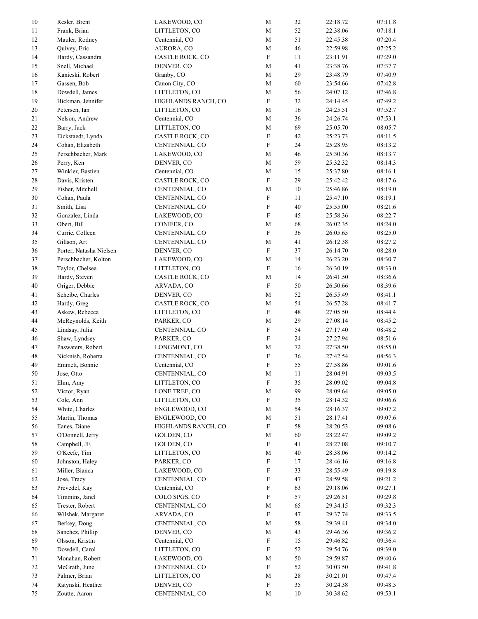| $10\,$ | Resler, Brent           | LAKEWOOD, CO        | M                         | 32     | 22:18.72 | 07:11.8 |
|--------|-------------------------|---------------------|---------------------------|--------|----------|---------|
| 11     | Frank, Brian            | LITTLETON, CO       | $\mathbf M$               | 52     | 22:38.06 | 07:18.1 |
| 12     | Mauler, Rodney          | Centennial, CO      | $\mathbf M$               | 51     | 22:45.38 | 07:20.4 |
| 13     | Quivey, Eric            | AURORA, CO          | $\mathbf M$               | 46     | 22:59.98 | 07:25.2 |
| 14     | Hardy, Cassandra        | CASTLE ROCK, CO     | ${\bf F}$                 | 11     | 23:11.91 | 07:29.0 |
| 15     | Snell, Michael          | DENVER, CO          | $\mathbf M$               | 41     | 23:38.76 | 07:37.7 |
| 16     | Kanieski, Robert        | Granby, CO          | $\mathbf M$               | 29     | 23:48.79 | 07:40.9 |
| 17     | Gassen, Bob             | Canon City, CO      | $\mathbf M$               | 60     | 23:54.66 | 07:42.8 |
| 18     | Dowdell, James          | LITTLETON, CO       | $\mathbf M$               | 56     | 24:07.12 | 07:46.8 |
| 19     | Hickman, Jennifer       | HIGHLANDS RANCH, CO | ${\bf F}$                 | 32     | 24:14.45 | 07:49.2 |
| 20     | Petersen, Ian           | LITTLETON, CO       | $\mathbf M$               | 16     | 24:25.51 | 07:52.7 |
| 21     | Nelson, Andrew          | Centennial, CO      | M                         | 36     | 24:26.74 | 07:53.1 |
| 22     | Barry, Jack             | LITTLETON, CO       | $\mathbf M$               | 69     | 25:05.70 | 08:05.7 |
| 23     | Eickstaedt, Lynda       | CASTLE ROCK, CO     | $\boldsymbol{\mathrm{F}}$ | 42     | 25:23.73 | 08:11.5 |
| 24     | Cohan, Elizabeth        | CENTENNIAL, CO      | $\boldsymbol{\mathrm{F}}$ | 24     | 25:28.95 | 08:13.2 |
| 25     | Perschbacher, Mark      | LAKEWOOD, CO        | $\mathbf M$               | 46     | 25:30.36 | 08:13.7 |
| 26     | Perry, Ken              | DENVER, CO          | $\mathbf M$               | 59     | 25:32.32 | 08:14.3 |
| 27     | Winkler, Bastien        | Centennial, CO      | $\mathbf M$               | 15     | 25:37.80 | 08:16.1 |
| 28     | Davis, Kristen          | CASTLE ROCK, CO     | ${\bf F}$                 | 29     | 25:42.42 | 08:17.6 |
| 29     | Fisher, Mitchell        | CENTENNIAL, CO      | $\mathbf M$               | $10\,$ | 25:46.86 | 08:19.0 |
| 30     | Cohan, Paula            |                     | $\boldsymbol{\mathrm{F}}$ | 11     | 25:47.10 | 08:19.1 |
|        |                         | CENTENNIAL, CO      |                           |        | 25:55.00 |         |
| 31     | Smith, Lisa             | CENTENNIAL, CO      | $\boldsymbol{\mathrm{F}}$ | 40     |          | 08:21.6 |
| 32     | Gonzalez, Linda         | LAKEWOOD, CO        | ${\bf F}$                 | 45     | 25:58.36 | 08:22.7 |
| 33     | Obert, Bill             | CONIFER, CO         | $\mathbf M$               | 68     | 26:02.35 | 08:24.0 |
| 34     | Currie, Colleen         | CENTENNIAL, CO      | ${\bf F}$                 | 36     | 26:05.65 | 08:25.0 |
| 35     | Gillson, Art            | CENTENNIAL, CO      | M                         | 41     | 26:12.38 | 08:27.2 |
| 36     | Porter, Natasha Nielsen | DENVER, CO          | ${\bf F}$                 | 37     | 26:14.70 | 08:28.0 |
| 37     | Perschbacher, Kolton    | LAKEWOOD, CO        | $\mathbf M$               | 14     | 26:23.20 | 08:30.7 |
| 38     | Taylor, Chelsea         | LITTLETON, CO       | $\boldsymbol{\mathrm{F}}$ | 16     | 26:30.19 | 08:33.0 |
| 39     | Hardy, Steven           | CASTLE ROCK, CO     | $\mathbf M$               | 14     | 26:41.50 | 08:36.6 |
| 40     | Origer, Debbie          | ARVADA, CO          | ${\bf F}$                 | $50\,$ | 26:50.66 | 08:39.6 |
| 41     | Scheibe, Charles        | DENVER, CO          | $\mathbf M$               | 52     | 26:55.49 | 08:41.1 |
| 42     | Hardy, Greg             | CASTLE ROCK, CO     | $\mathbf M$               | 54     | 26:57.28 | 08:41.7 |
| 43     | Askew, Rebecca          | LITTLETON, CO       | $\boldsymbol{\mathrm{F}}$ | 48     | 27:05.50 | 08:44.4 |
| 44     | McReynolds, Keith       | PARKER, CO          | $\mathbf M$               | 29     | 27:08.14 | 08:45.2 |
| 45     | Lindsay, Julia          | CENTENNIAL, CO      | $\boldsymbol{\mathrm{F}}$ | 54     | 27:17.40 | 08:48.2 |
| 46     | Shaw, Lyndsey           | PARKER, CO          | ${\bf F}$                 | 24     | 27:27.94 | 08:51.6 |
| 47     | Paswaters, Robert       | LONGMONT, CO        | $\mathbf M$               | 72     | 27:38.50 | 08:55.0 |
| 48     | Nicknish, Roberta       | CENTENNIAL, CO      | ${\bf F}$                 | 36     | 27:42.54 | 08:56.3 |
| 49     | Emmett, Bonnie          | Centennial, CO      | ${\bf F}$                 | 55     | 27:58.86 | 09:01.6 |
| 50     | Jose, Otto              | CENTENNIAL, CO      | $\mathbf M$               | 11     | 28:04.91 | 09:03.5 |
| 51     | Ehm, Amy                | LITTLETON, CO       | $\boldsymbol{\mathrm{F}}$ | 35     | 28:09.02 | 09:04.8 |
| 52     | Victor, Ryan            | LONE TREE, CO       | $\mathbf M$               | 99     | 28:09.64 | 09:05.0 |
| 53     | Cole, Ann               | LITTLETON, CO       | $\boldsymbol{\mathrm{F}}$ | 35     | 28:14.32 | 09:06.6 |
| 54     | White, Charles          | ENGLEWOOD, CO       | $\mathbf M$               | 54     | 28:16.37 | 09:07.2 |
| 55     | Martin, Thomas          | ENGLEWOOD, CO       | $\mathbf M$               | 51     | 28:17.41 | 09:07.6 |
| 56     | Eanes, Diane            | HIGHLANDS RANCH, CO | $\boldsymbol{\mathrm{F}}$ | 58     | 28:20.53 | 09:08.6 |
| 57     | O'Donnell, Jerry        | GOLDEN, CO          | $\mathbf M$               | 60     | 28:22.47 | 09:09.2 |
| 58     | Campbell, JE            | GOLDEN, CO          | $\boldsymbol{\mathrm{F}}$ | 41     | 28:27.08 | 09:10.7 |
|        | O'Keefe, Tim            | LITTLETON, CO       | $\mathbf M$               | 40     |          | 09:14.2 |
| 59     |                         |                     |                           |        | 28:38.06 |         |
| 60     | Johnston, Haley         | PARKER, CO          | $\boldsymbol{\mathrm{F}}$ | 17     | 28:46.16 | 09:16.8 |
| 61     | Miller, Bianca          | LAKEWOOD, CO        | $\boldsymbol{\mathrm{F}}$ | 33     | 28:55.49 | 09:19.8 |
| 62     | Jose, Tracy             | CENTENNIAL, CO      | F                         | 47     | 28:59.58 | 09:21.2 |
| 63     | Prevedel, Kay           | Centennial, CO      | F                         | 63     | 29:18.06 | 09:27.1 |
| 64     | Timmins, Janel          | COLO SPGS, CO       | $\boldsymbol{\mathrm{F}}$ | 57     | 29:26.51 | 09:29.8 |
| 65     | Trester, Robert         | CENTENNIAL, CO      | $\mathbf M$               | 65     | 29:34.15 | 09:32.3 |
| 66     | Wilshek, Margaret       | ARVADA, CO          | $\boldsymbol{\mathrm{F}}$ | 47     | 29:37.74 | 09:33.5 |
| 67     | Berkey, Doug            | CENTENNIAL, CO      | $\mathbf M$               | 58     | 29:39.41 | 09:34.0 |
| 68     | Sanchez, Phillip        | DENVER, CO          | $\mathbf M$               | 43     | 29:46.36 | 09:36.2 |
| 69     | Olsson, Kristin         | Centennial, CO      | $\boldsymbol{\mathrm{F}}$ | 15     | 29:46.82 | 09:36.4 |
| 70     | Dowdell, Carol          | LITTLETON, CO       | $\boldsymbol{\mathrm{F}}$ | 52     | 29:54.76 | 09:39.0 |
| 71     | Monahan, Robert         | LAKEWOOD, CO        | $\mathbf M$               | 50     | 29:59.87 | 09:40.6 |
| 72     | McGrath, June           | CENTENNIAL, CO      | $\boldsymbol{\mathrm{F}}$ | 52     | 30:03.50 | 09:41.8 |
| 73     | Palmer, Brian           | LITTLETON, CO       | $\mathbf M$               | 28     | 30:21.01 | 09:47.4 |
| 74     | Ratynski, Heather       | DENVER, CO          | $\boldsymbol{\mathrm{F}}$ | 35     | 30:24.38 | 09:48.5 |
| 75     | Zoutte, Aaron           | CENTENNIAL, CO      | $\mathbf M$               | 10     | 30:38.62 | 09:53.1 |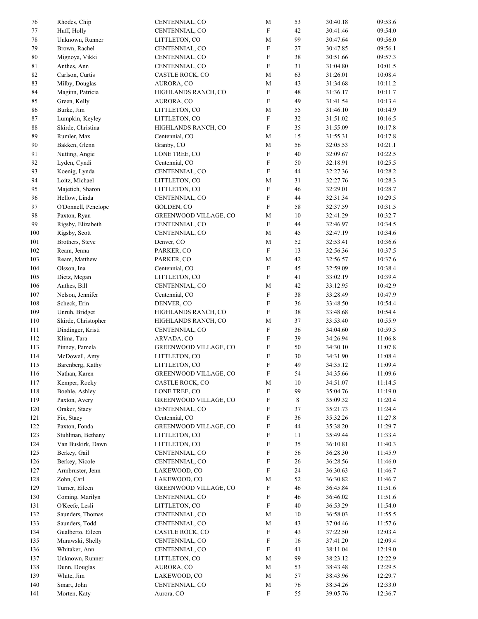| 76          | Rhodes, Chip        | CENTENNIAL, CO         | $\mathbf M$               | 53     | 30:40.18 | 09:53.6 |
|-------------|---------------------|------------------------|---------------------------|--------|----------|---------|
| 77          | Huff, Holly         | CENTENNIAL, CO         | ${\bf F}$                 | 42     | 30:41.46 | 09:54.0 |
| $78\,$      | Unknown, Runner     | LITTLETON, CO          | $\mathbf M$               | 99     | 30:47.64 | 09:56.0 |
| 79          | Brown, Rachel       | CENTENNIAL, CO         | ${\bf F}$                 | 27     | 30:47.85 | 09:56.1 |
| $80\,$      | Mignoya, Vikki      | CENTENNIAL, CO         | ${\bf F}$                 | 38     | 30:51.66 | 09:57.3 |
| $8\sqrt{1}$ | Anthes, Ann         | CENTENNIAL, CO         | ${\bf F}$                 | 31     | 31:04.80 | 10:01.5 |
| $82\,$      | Carlson, Curtis     | CASTLE ROCK, CO        | $\mathbf M$               | 63     | 31:26.01 | 10:08.4 |
| 83          | Milby, Douglas      | AURORA, CO             | $\mathbf M$               | 43     | 31:34.68 | 10:11.2 |
| $\bf 84$    | Maginn, Patricia    | HIGHLANDS RANCH, CO    | ${\bf F}$                 | 48     | 31:36.17 | 10:11.7 |
| 85          | Green, Kelly        | AURORA, CO             | ${\rm F}$                 | 49     | 31:41.54 | 10:13.4 |
| 86          | Burke, Jim          | LITTLETON, CO          | M                         | 55     | 31:46.10 | 10:14.9 |
| $\bf 87$    | Lumpkin, Keyley     | LITTLETON, CO          | $\boldsymbol{\mathrm{F}}$ | 32     | 31:51.02 | 10:16.5 |
| $\bf 88$    | Skirde, Christina   | HIGHLANDS RANCH, CO    | ${\bf F}$                 | 35     | 31:55.09 | 10:17.8 |
| 89          | Rumler, Max         | Centennial, CO         | $\mathbf M$               | 15     | 31:55.31 | 10:17.8 |
| $90\,$      | Bakken, Glenn       |                        | $\mathbf M$               | 56     | 32:05.53 |         |
|             |                     | Granby, CO             |                           |        |          | 10:21.1 |
| 91          | Nutting, Angie      | LONE TREE, CO          | ${\bf F}$                 | $40\,$ | 32:09.67 | 10:22.5 |
| 92          | Lyden, Cyndi        | Centennial, CO         | ${\bf F}$                 | 50     | 32:18.91 | 10:25.5 |
| 93          | Koenig, Lynda       | CENTENNIAL, CO         | ${\bf F}$                 | 44     | 32:27.36 | 10:28.2 |
| 94          | Loitz, Michael      | LITTLETON, CO          | $\mathbf M$               | 31     | 32:27.76 | 10:28.3 |
| 95          | Majetich, Sharon    | LITTLETON, CO          | ${\bf F}$                 | 46     | 32:29.01 | 10:28.7 |
| 96          | Hellow, Linda       | CENTENNIAL, CO         | F                         | 44     | 32:31.34 | 10:29.5 |
| 97          | O'Donnell, Penelope | GOLDEN, CO             | ${\bf F}$                 | 58     | 32:37.59 | 10:31.5 |
| 98          | Paxton, Ryan        | GREENWOOD VILLAGE, CO  | $\mathbf M$               | $10\,$ | 32:41.29 | 10:32.7 |
| 99          | Rigsby, Elizabeth   | CENTENNIAL, CO         | ${\bf F}$                 | 44     | 32:46.97 | 10:34.5 |
| 100         | Rigsby, Scott       | CENTENNIAL, CO         | $\mathbf M$               | 45     | 32:47.19 | 10:34.6 |
| $101\,$     | Brothers, Steve     | Denver, CO             | M                         | 52     | 32:53.41 | 10:36.6 |
| 102         | Ream, Jenna         | PARKER, CO             | ${\bf F}$                 | 13     | 32:56.36 | 10:37.5 |
| 103         | Ream, Matthew       | PARKER, CO             | $\mathbf M$               | 42     | 32:56.57 | 10:37.6 |
| 104         | Olsson, Ina         | Centennial, CO         | ${\bf F}$                 | 45     | 32:59.09 | 10:38.4 |
| 105         | Dietz, Megan        | LITTLETON, CO          | ${\bf F}$                 | 41     | 33:02.19 | 10:39.4 |
| 106         | Anthes, Bill        | CENTENNIAL, CO         | $\mathbf M$               | 42     | 33:12.95 | 10:42.9 |
| $107\,$     | Nelson, Jennifer    | Centennial, CO         | ${\bf F}$                 | 38     | 33:28.49 | 10:47.9 |
| 108         | Scheck, Erin        | DENVER, CO             | F                         | 36     | 33:48.50 | 10:54.4 |
| 109         | Unruh, Bridget      | HIGHLANDS RANCH, CO    | F                         | 38     | 33:48.68 | 10:54.4 |
| 110         | Skirde, Christopher | HIGHLANDS RANCH, CO    | M                         | 37     | 33:53.40 | 10:55.9 |
| 111         | Dindinger, Kristi   | CENTENNIAL, CO         | $\boldsymbol{\mathrm{F}}$ | 36     | 34:04.60 | 10:59.5 |
| 112         |                     |                        | F                         | 39     |          |         |
|             | Klima, Tara         | ARVADA, CO             |                           |        | 34:26.94 | 11:06.8 |
| 113         | Pinney, Pamela      | GREENWOOD VILLAGE, CO  | F                         | 50     | 34:30.10 | 11:07.8 |
| 114         | McDowell, Amy       | LITTLETON, CO          | ${\bf F}$                 | 30     | 34:31.90 | 11:08.4 |
| 115         | Barenberg, Kathy    | LITTLETON, CO          | ${\bf F}$                 | 49     | 34:35.12 | 11:09.4 |
| 116         | Nathan, Karen       | GREENWOOD VILLAGE, CO  | ${\bf F}$                 | 54     | 34:35.66 | 11:09.6 |
| 117         | Kemper, Rocky       | <b>CASTLE ROCK, CO</b> | $\mathbf M$               | $10\,$ | 34:51.07 | 11:14.5 |
| 118         | Boehle, Ashley      | LONE TREE, CO          | F                         | 99     | 35:04.76 | 11:19.0 |
| 119         | Paxton, Avery       | GREENWOOD VILLAGE, CO  | F                         | 8      | 35:09.32 | 11:20.4 |
| 120         | Oraker, Stacy       | CENTENNIAL, CO         | F                         | 37     | 35:21.73 | 11:24.4 |
| 121         | Fix, Stacy          | Centennial, CO         | F                         | 36     | 35:32.26 | 11:27.8 |
| 122         | Paxton, Fonda       | GREENWOOD VILLAGE, CO  | F                         | 44     | 35:38.20 | 11:29.7 |
| 123         | Stuhlman, Bethany   | LITTLETON, CO          | F                         | 11     | 35:49.44 | 11:33.4 |
| 124         | Van Buskirk, Dawn   | LITTLETON, CO          | F                         | 35     | 36:10.81 | 11:40.3 |
| 125         | Berkey, Gail        | CENTENNIAL, CO         | F                         | 56     | 36:28.30 | 11:45.9 |
| 126         | Berkey, Nicole      | CENTENNIAL, CO         | F                         | 26     | 36:28.56 | 11:46.0 |
| 127         | Armbruster, Jenn    | LAKEWOOD, CO           | $\boldsymbol{\mathrm{F}}$ | 24     | 36:30.63 | 11:46.7 |
| 128         | Zohn, Carl          | LAKEWOOD, CO           | M                         | 52     | 36:30.82 | 11:46.7 |
| 129         | Turner, Eileen      | GREENWOOD VILLAGE, CO  | $\boldsymbol{\mathrm{F}}$ | 46     | 36:45.84 | 11:51.6 |
| 130         | Coming, Marilyn     | CENTENNIAL, CO         | F                         | 46     | 36:46.02 | 11:51.6 |
| 131         | O'Keefe, Lesli      | LITTLETON, CO          | F                         | 40     | 36:53.29 | 11:54.0 |
| 132         | Saunders, Thomas    | CENTENNIAL, CO         | $\mathbf M$               | 10     | 36:58.03 | 11:55.5 |
| 133         | Saunders, Todd      | CENTENNIAL, CO         | $\mathbf M$               | 43     | 37:04.46 | 11:57.6 |
| 134         | Gualberto, Eileen   | CASTLE ROCK, CO        | F                         | 43     | 37:22.50 | 12:03.4 |
| 135         | Murawski, Shelly    | CENTENNIAL, CO         | $\boldsymbol{\mathrm{F}}$ | 16     | 37:41.20 | 12:09.4 |
| 136         | Whitaker, Ann       | CENTENNIAL, CO         | F                         | 41     | 38:11.04 | 12:19.0 |
| 137         | Unknown, Runner     | LITTLETON, CO          | $\mathbf M$               | 99     | 38:23.12 | 12:22.9 |
| 138         | Dunn, Douglas       | AURORA, CO             | $\mathbf M$               | 53     | 38:43.48 | 12:29.5 |
| 139         | White, Jim          | LAKEWOOD, CO           | $\mathbf M$               | 57     | 38:43.96 | 12:29.7 |
| 140         | Smart, John         | CENTENNIAL, CO         | $\mathbf M$               | 76     | 38:54.26 | 12:33.0 |
| 141         | Morten, Katy        | Aurora, CO             | F                         | 55     | 39:05.76 | 12:36.7 |
|             |                     |                        |                           |        |          |         |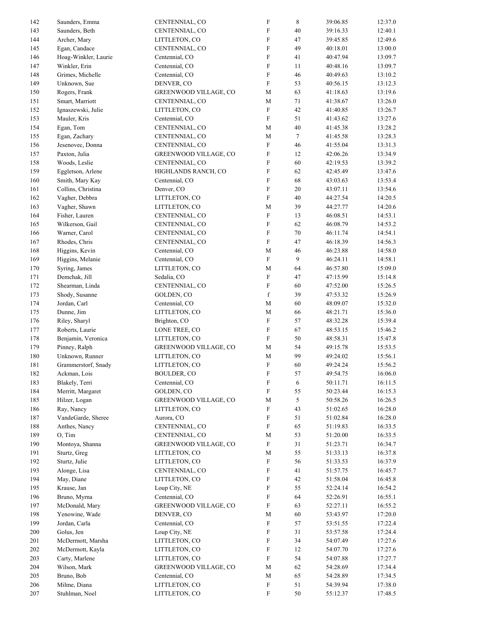| 142     | Saunders, Emma       | CENTENNIAL, CO        | $\boldsymbol{\mathrm{F}}$ | 8                | 39:06.85 | 12:37.0 |
|---------|----------------------|-----------------------|---------------------------|------------------|----------|---------|
| 143     | Saunders, Beth       | CENTENNIAL, CO        | ${\bf F}$                 | 40               | 39:16.33 | 12:40.1 |
| 144     | Archer, Mary         | LITTLETON, CO         | ${\bf F}$                 | $47\,$           | 39:45.85 | 12:49.6 |
| 145     | Egan, Candace        | CENTENNIAL, CO        | ${\bf F}$                 | 49               | 40:18.01 | 13:00.0 |
| 146     | Hoag-Winkler, Laurie | Centennial, CO        | ${\bf F}$                 | 41               | 40:47.94 | 13:09.7 |
| 147     | Winkler, Erin        | Centennial, CO        | ${\rm F}$                 | 11               | 40:48.16 | 13:09.7 |
| 148     | Grimes, Michelle     | Centennial, CO        | ${\bf F}$                 | 46               | 40:49.63 | 13:10.2 |
|         |                      |                       |                           |                  |          |         |
| 149     | Unknown, Sue         | DENVER, CO            | ${\bf F}$                 | 53               | 40:56.15 | 13:12.3 |
| 150     | Rogers, Frank        | GREENWOOD VILLAGE, CO | $\mathbf M$               | 63               | 41:18.63 | 13:19.6 |
| 151     | Smart, Marriott      | CENTENNIAL, CO        | $\mathbf M$               | 71               | 41:38.67 | 13:26.0 |
| 152     | Ignaszewski, Julie   | LITTLETON, CO         | ${\bf F}$                 | $42\,$           | 41:40.85 | 13:26.7 |
| 153     | Mauler, Kris         | Centennial, CO        | ${\bf F}$                 | 51               | 41:43.62 | 13:27.6 |
| 154     | Egan, Tom            | CENTENNIAL, CO        | $\mathbf M$               | 40               | 41:45.38 | 13:28.2 |
| 155     | Egan, Zachary        | CENTENNIAL, CO        | $\mathbf M$               | $\boldsymbol{7}$ | 41:45.58 | 13:28.3 |
| 156     | Jesenovec, Donna     | CENTENNIAL, CO        | ${\bf F}$                 | 46               | 41:55.04 | 13:31.3 |
| 157     | Paxton, Julia        | GREENWOOD VILLAGE, CO | F                         | 12               | 42:06.26 | 13:34.9 |
| 158     | Woods, Leslie        | CENTENNIAL, CO        | F                         | 60               | 42:19.53 | 13:39.2 |
| 159     |                      | HIGHLANDS RANCH, CO   | F                         | 62               | 42:45.49 | 13:47.6 |
|         | Eggletson, Arlene    |                       |                           |                  |          |         |
| 160     | Smith, Mary Kay      | Centennial, CO        | F                         | 68               | 43:03.63 | 13:53.4 |
| 161     | Collins, Christina   | Denver, CO            | ${\bf F}$                 | 20               | 43:07.11 | 13:54.6 |
| 162     | Vagher, Debbra       | LITTLETON, CO         | ${\bf F}$                 | 40               | 44:27.54 | 14:20.5 |
| 163     | Vagher, Shawn        | LITTLETON, CO         | $\mathbf M$               | 39               | 44:27.77 | 14:20.6 |
| 164     | Fisher, Lauren       | CENTENNIAL, CO        | ${\bf F}$                 | 13               | 46:08.51 | 14:53.1 |
| 165     | Wilkerson, Gail      | CENTENNIAL, CO        | ${\bf F}$                 | 62               | 46:08.79 | 14:53.2 |
| 166     | Warner, Carol        | CENTENNIAL, CO        | $\boldsymbol{\mathrm{F}}$ | $70\,$           | 46:11.74 | 14:54.1 |
| 167     | Rhodes, Chris        | CENTENNIAL, CO        | ${\bf F}$                 | 47               | 46:18.39 | 14:56.3 |
| 168     | Higgins, Kevin       | Centennial, CO        | $\mathbf M$               | 46               | 46:23.88 | 14:58.0 |
| 169     |                      | Centennial, CO        | ${\bf F}$                 | 9                | 46:24.11 | 14:58.1 |
|         | Higgins, Melanie     |                       |                           |                  |          |         |
| $170\,$ | Syring, James        | LITTLETON, CO         | $\mathbf M$               | 64               | 46:57.80 | 15:09.0 |
| 171     | Demchak, Jill        | Sedalia, CO           | ${\bf F}$                 | 47               | 47:15.99 | 15:14.8 |
| 172     | Shearman, Linda      | CENTENNIAL, CO        | ${\bf F}$                 | 60               | 47:52.00 | 15:26.5 |
| 173     | Shody, Susanne       | GOLDEN, CO            | $\mathbf f$               | 39               | 47:53.32 | 15:26.9 |
| 174     | Jordan, Carl         | Centennial, CO        | $\mathbf M$               | 60               | 48:09.07 | 15:32.0 |
| 175     | Dunne, Jim           | LITTLETON, CO         | $\mathbf M$               | 66               | 48:21.71 | 15:36.0 |
| 176     | Riley, Sharyl        | Brighton, CO          | ${\bf F}$                 | 57               | 48:32.28 | 15:39.4 |
| 177     | Roberts, Laurie      | LONE TREE, CO         | $\boldsymbol{\mathrm{F}}$ | 67               | 48:53.15 | 15:46.2 |
| 178     | Benjamin, Veronica   | LITTLETON, CO         | ${\bf F}$                 | $50\,$           | 48:58.31 | 15:47.8 |
| 179     | Pinney, Ralph        | GREENWOOD VILLAGE, CO | $\mathbf M$               | 54               | 49:15.78 | 15:53.5 |
| $180\,$ | Unknown, Runner      | LITTLETON, CO         | $\mathbf M$               | 99               | 49:24.02 | 15:56.1 |
|         |                      |                       |                           |                  |          |         |
| 181     | Grammerstorf, Snady  | LITTLETON, CO         | ${\rm F}$                 | 60               | 49:24.24 | 15:56.2 |
| 182     | Ackman, Lois         | <b>BOULDER, CO</b>    | ${\bf F}$                 | 57               | 49:54.75 | 16:06.0 |
| 183     | Blakely, Terri       | Centennial, CO        | ${\bf F}$                 | 6                | 50:11.71 | 16:11.5 |
| 184     | Merritt, Margaret    | GOLDEN, CO            | F                         | 55               | 50:23.44 | 16:15.3 |
| 185     | Hilzer, Logan        | GREENWOOD VILLAGE, CO | M                         | 5                | 50:58.26 | 16:26.5 |
| 186     | Ray, Nancy           | LITTLETON, CO         | ${\bf F}$                 | 43               | 51:02.65 | 16:28.0 |
| 187     | VandeGarde, Sheree   | Aurora, CO            | $\boldsymbol{\mathrm{F}}$ | 51               | 51:02.84 | 16:28.0 |
| 188     | Anthes, Nancy        | CENTENNIAL, CO        | $\boldsymbol{\mathrm{F}}$ | 65               | 51:19.83 | 16:33.5 |
| 189     | O, Tim               | CENTENNIAL, CO        | M                         | 53               | 51:20.00 | 16:33.5 |
| 190     | Montoya, Shanna      | GREENWOOD VILLAGE, CO | $\boldsymbol{\mathrm{F}}$ | 31               | 51:23.71 | 16:34.7 |
| 191     | Sturtz, Greg         | LITTLETON, CO         | M                         | 55               | 51:33.13 | 16:37.8 |
|         |                      |                       |                           |                  |          |         |
| 192     | Sturtz, Julie        | LITTLETON, CO         | ${\bf F}$                 | 56               | 51:33.53 | 16:37.9 |
| 193     | Alonge, Lisa         | CENTENNIAL, CO        | F                         | 41               | 51:57.75 | 16:45.7 |
| 194     | May, Diane           | LITTLETON, CO         | F                         | $42\,$           | 51:58.04 | 16:45.8 |
| 195     | Krause, Jan          | Loup City, NE         | $\boldsymbol{\mathrm{F}}$ | 55               | 52:24.14 | 16:54.2 |
| 196     | Bruno, Myrna         | Centennial, CO        | F                         | 64               | 52:26.91 | 16:55.1 |
| 197     | McDonald, Mary       | GREENWOOD VILLAGE, CO | F                         | 63               | 52:27.11 | 16:55.2 |
| 198     | Yenowine, Wade       | DENVER, CO            | M                         | 60               | 53:43.97 | 17:20.0 |
| 199     | Jordan, Carla        | Centennial, CO        | $\boldsymbol{\mathrm{F}}$ | 57               | 53:51.55 | 17:22.4 |
| 200     | Golus, Jen           | Loup City, NE         | F                         | 31               | 53:57.58 | 17:24.4 |
| 201     | McDermott, Marsha    | LITTLETON, CO         | ${\bf F}$                 | 34               | 54:07.49 | 17:27.6 |
| 202     | McDermott, Kayla     | LITTLETON, CO         | ${\bf F}$                 | 12               | 54:07.70 | 17:27.6 |
|         |                      |                       |                           |                  |          |         |
| 203     | Carty, Marlene       | LITTLETON, CO         | ${\bf F}$                 | 54               | 54:07.88 | 17:27.7 |
| 204     | Wilson, Mark         | GREENWOOD VILLAGE, CO | $\mathbf M$               | 62               | 54:28.69 | 17:34.4 |
| 205     | Bruno, Bob           | Centennial, CO        | M                         | 65               | 54:28.89 | 17:34.5 |
| 206     | Milme, Diana         | LITTLETON, CO         | $\boldsymbol{\mathrm{F}}$ | 51               | 54:39.94 | 17:38.0 |
| 207     | Stuhlman, Noel       | LITTLETON, CO         | ${\bf F}$                 | 50               | 55:12.37 | 17:48.5 |